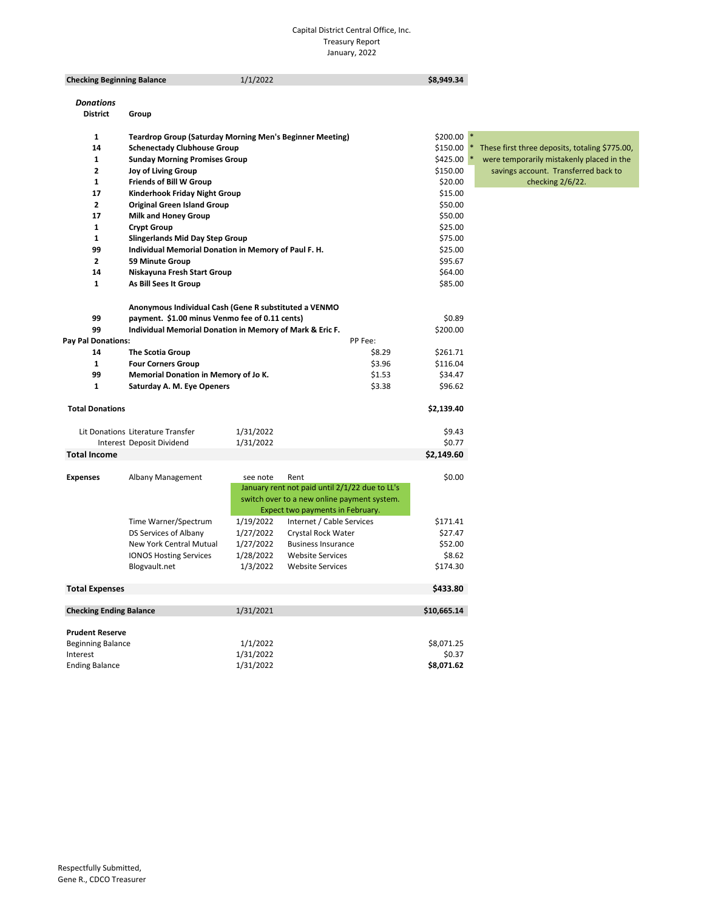#### Capital District Central Office, Inc. Treasury Report January, 2022

| <b>Checking Beginning Balance</b>    |                                                                 | 1/1/2022               |                                                | \$8,949.34  |                                                |
|--------------------------------------|-----------------------------------------------------------------|------------------------|------------------------------------------------|-------------|------------------------------------------------|
|                                      |                                                                 |                        |                                                |             |                                                |
| <b>Donations</b>                     |                                                                 |                        |                                                |             |                                                |
| <b>District</b>                      | Group                                                           |                        |                                                |             |                                                |
|                                      |                                                                 |                        |                                                |             |                                                |
| 1                                    | <b>Teardrop Group (Saturday Morning Men's Beginner Meeting)</b> |                        |                                                | $$200.00$ * |                                                |
| 14                                   | <b>Schenectady Clubhouse Group</b>                              |                        |                                                | \$150.00    | These first three deposits, totaling \$775.00, |
| 1                                    | <b>Sunday Morning Promises Group</b>                            |                        |                                                | \$425.00    | were temporarily mistakenly placed in the      |
| $\mathbf{2}$                         | <b>Joy of Living Group</b>                                      |                        |                                                | \$150.00    | savings account. Transferred back to           |
| 1                                    | <b>Friends of Bill W Group</b>                                  |                        |                                                | \$20.00     | checking 2/6/22.                               |
| 17                                   | Kinderhook Friday Night Group                                   |                        |                                                | \$15.00     |                                                |
| $\mathbf{2}$                         | <b>Original Green Island Group</b>                              |                        |                                                | \$50.00     |                                                |
| 17                                   | Milk and Honey Group                                            |                        |                                                | \$50.00     |                                                |
| 1                                    | <b>Crypt Group</b>                                              |                        |                                                | \$25.00     |                                                |
| 1                                    | <b>Slingerlands Mid Day Step Group</b>                          |                        |                                                | \$75.00     |                                                |
| 99                                   | Individual Memorial Donation in Memory of Paul F. H.            |                        |                                                | \$25.00     |                                                |
| 2                                    | <b>59 Minute Group</b>                                          |                        |                                                | \$95.67     |                                                |
| 14                                   | Niskayuna Fresh Start Group                                     |                        |                                                | \$64.00     |                                                |
| 1                                    | As Bill Sees It Group                                           |                        |                                                | \$85.00     |                                                |
|                                      |                                                                 |                        |                                                |             |                                                |
|                                      | Anonymous Individual Cash (Gene R substituted a VENMO           |                        |                                                |             |                                                |
| 99                                   | payment. \$1.00 minus Venmo fee of 0.11 cents)                  |                        |                                                | \$0.89      |                                                |
| 99                                   | Individual Memorial Donation in Memory of Mark & Eric F.        |                        |                                                | \$200.00    |                                                |
| <b>Pay Pal Donations:</b>            |                                                                 |                        | PP Fee:                                        |             |                                                |
| 14                                   | The Scotia Group                                                |                        | \$8.29                                         | \$261.71    |                                                |
| $\mathbf{1}$                         | <b>Four Corners Group</b>                                       |                        | \$3.96                                         | \$116.04    |                                                |
| 99                                   | Memorial Donation in Memory of Jo K.                            |                        | \$1.53                                         | \$34.47     |                                                |
| 1                                    | Saturday A. M. Eye Openers                                      |                        | \$3.38                                         | \$96.62     |                                                |
|                                      |                                                                 |                        |                                                |             |                                                |
| <b>Total Donations</b>               |                                                                 |                        |                                                | \$2,139.40  |                                                |
|                                      | Lit Donations Literature Transfer                               | 1/31/2022              |                                                | \$9.43      |                                                |
|                                      | Interest Deposit Dividend                                       | 1/31/2022              |                                                | \$0.77      |                                                |
| <b>Total Income</b>                  |                                                                 |                        |                                                | \$2,149.60  |                                                |
|                                      |                                                                 |                        |                                                |             |                                                |
| <b>Expenses</b>                      | Albany Management                                               | see note               | Rent                                           | \$0.00      |                                                |
|                                      |                                                                 |                        | January rent not paid until 2/1/22 due to LL's |             |                                                |
|                                      |                                                                 |                        | switch over to a new online payment system.    |             |                                                |
|                                      |                                                                 |                        | Expect two payments in February.               |             |                                                |
|                                      | Time Warner/Spectrum                                            | 1/19/2022              | Internet / Cable Services                      | \$171.41    |                                                |
|                                      | DS Services of Albany                                           | 1/27/2022              | Crystal Rock Water                             | \$27.47     |                                                |
|                                      | New York Central Mutual                                         | 1/27/2022              | <b>Business Insurance</b>                      | \$52.00     |                                                |
|                                      | <b>IONOS Hosting Services</b>                                   | 1/28/2022              | <b>Website Services</b>                        | \$8.62      |                                                |
|                                      | Blogvault.net                                                   | 1/3/2022               | <b>Website Services</b>                        | \$174.30    |                                                |
|                                      |                                                                 |                        |                                                |             |                                                |
| <b>Total Expenses</b>                |                                                                 |                        |                                                | \$433.80    |                                                |
|                                      |                                                                 |                        |                                                |             |                                                |
| <b>Checking Ending Balance</b>       |                                                                 | 1/31/2021              |                                                | \$10,665.14 |                                                |
|                                      |                                                                 |                        |                                                |             |                                                |
| <b>Prudent Reserve</b>               |                                                                 |                        |                                                | \$8,071.25  |                                                |
| <b>Beginning Balance</b><br>Interest |                                                                 | 1/1/2022               |                                                | \$0.37      |                                                |
| <b>Ending Balance</b>                |                                                                 | 1/31/2022<br>1/31/2022 |                                                | \$8,071.62  |                                                |
|                                      |                                                                 |                        |                                                |             |                                                |
|                                      |                                                                 |                        |                                                |             |                                                |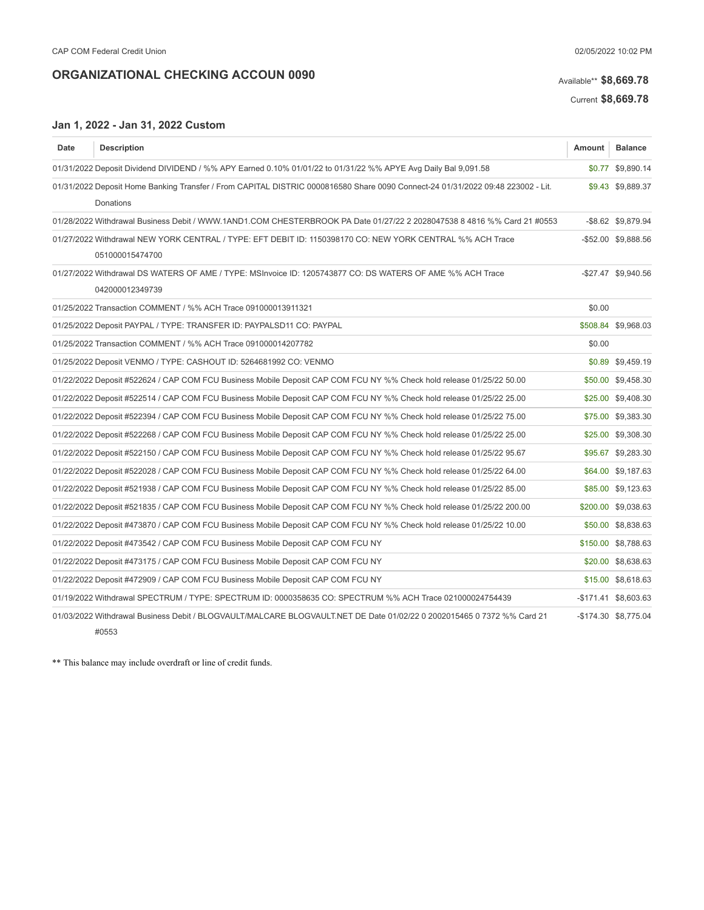# Available\*\* \$8,669.78

Current \$8,669.78

#### Jan 1, 2022 - Jan 31, 2022 Custom

| Date                                                                                                                            | <b>Description</b>                                                                                                      | <b>Amount</b> | <b>Balance</b>       |
|---------------------------------------------------------------------------------------------------------------------------------|-------------------------------------------------------------------------------------------------------------------------|---------------|----------------------|
|                                                                                                                                 | 01/31/2022 Deposit Dividend DIVIDEND / %% APY Earned 0.10% 01/01/22 to 01/31/22 %% APYE Avg Daily Bal 9,091.58          |               | \$0.77 \$9,890.14    |
| 01/31/2022 Deposit Home Banking Transfer / From CAPITAL DISTRIC 0000816580 Share 0090 Connect-24 01/31/2022 09:48 223002 - Lit. |                                                                                                                         |               | \$9.43 \$9,889.37    |
|                                                                                                                                 | Donations                                                                                                               |               |                      |
|                                                                                                                                 | 01/28/2022 Withdrawal Business Debit / WWW.1AND1.COM CHESTERBROOK PA Date 01/27/22 2 2028047538 8 4816 %% Card 21 #0553 |               | -\$8.62 \$9,879.94   |
|                                                                                                                                 | 01/27/2022 Withdrawal NEW YORK CENTRAL / TYPE: EFT DEBIT ID: 1150398170 CO: NEW YORK CENTRAL %% ACH Trace               |               | -\$52.00 \$9,888.56  |
|                                                                                                                                 | 051000015474700                                                                                                         |               |                      |
|                                                                                                                                 | 01/27/2022 Withdrawal DS WATERS OF AME / TYPE: MSInvoice ID: 1205743877 CO: DS WATERS OF AME %% ACH Trace               |               | -\$27.47 \$9,940.56  |
|                                                                                                                                 | 042000012349739                                                                                                         |               |                      |
|                                                                                                                                 | 01/25/2022 Transaction COMMENT / %% ACH Trace 091000013911321                                                           | \$0.00        |                      |
|                                                                                                                                 | 01/25/2022 Deposit PAYPAL / TYPE: TRANSFER ID: PAYPALSD11 CO: PAYPAL                                                    |               | \$508.84 \$9,968.03  |
|                                                                                                                                 | 01/25/2022 Transaction COMMENT / %% ACH Trace 091000014207782                                                           | \$0.00        |                      |
|                                                                                                                                 | 01/25/2022 Deposit VENMO / TYPE: CASHOUT ID: 5264681992 CO: VENMO                                                       |               | \$0.89 \$9,459.19    |
|                                                                                                                                 | 01/22/2022 Deposit #522624 / CAP COM FCU Business Mobile Deposit CAP COM FCU NY %% Check hold release 01/25/22 50.00    |               | \$50.00 \$9,458.30   |
|                                                                                                                                 | 01/22/2022 Deposit #522514 / CAP COM FCU Business Mobile Deposit CAP COM FCU NY %% Check hold release 01/25/22 25.00    |               | \$25.00 \$9,408.30   |
|                                                                                                                                 | 01/22/2022 Deposit #522394 / CAP COM FCU Business Mobile Deposit CAP COM FCU NY %% Check hold release 01/25/22 75.00    |               | \$75.00 \$9,383.30   |
|                                                                                                                                 | 01/22/2022 Deposit #522268 / CAP COM FCU Business Mobile Deposit CAP COM FCU NY %% Check hold release 01/25/22 25.00    |               | \$25.00 \$9,308.30   |
|                                                                                                                                 | 01/22/2022 Deposit #522150 / CAP COM FCU Business Mobile Deposit CAP COM FCU NY %% Check hold release 01/25/22 95.67    |               | \$95.67 \$9,283.30   |
|                                                                                                                                 | 01/22/2022 Deposit #522028 / CAP COM FCU Business Mobile Deposit CAP COM FCU NY %% Check hold release 01/25/22 64.00    |               | \$64.00 \$9,187.63   |
|                                                                                                                                 | 01/22/2022 Deposit #521938 / CAP COM FCU Business Mobile Deposit CAP COM FCU NY %% Check hold release 01/25/22 85.00    |               | \$85.00 \$9,123.63   |
|                                                                                                                                 | 01/22/2022 Deposit #521835 / CAP COM FCU Business Mobile Deposit CAP COM FCU NY %% Check hold release 01/25/22 200.00   |               | \$200.00 \$9.038.63  |
|                                                                                                                                 | 01/22/2022 Deposit #473870 / CAP COM FCU Business Mobile Deposit CAP COM FCU NY %% Check hold release 01/25/22 10.00    |               | \$50.00 \$8,838.63   |
|                                                                                                                                 | 01/22/2022 Deposit #473542 / CAP COM FCU Business Mobile Deposit CAP COM FCU NY                                         |               | \$150.00 \$8,788.63  |
|                                                                                                                                 | 01/22/2022 Deposit #473175 / CAP COM FCU Business Mobile Deposit CAP COM FCU NY                                         |               | \$20.00 \$8,638.63   |
|                                                                                                                                 | 01/22/2022 Deposit #472909 / CAP COM FCU Business Mobile Deposit CAP COM FCU NY                                         |               | \$15.00 \$8,618.63   |
|                                                                                                                                 | 01/19/2022 Withdrawal SPECTRUM / TYPE: SPECTRUM ID: 0000358635 CO: SPECTRUM %% ACH Trace 021000024754439                |               | -\$171.41 \$8,603.63 |
|                                                                                                                                 | 01/03/2022 Withdrawal Business Debit / BLOGVAULT/MALCARE BLOGVAULT.NET DE Date 01/02/22 0 2002015465 0 7372 %% Card 21  |               | -\$174.30 \$8,775.04 |
|                                                                                                                                 | #0553                                                                                                                   |               |                      |

\*\* This balance may include overdraft or line of credit funds.